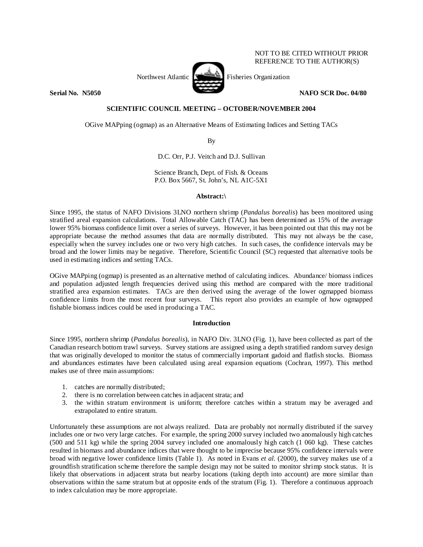

REFERENCE TO THE AUTHOR(S)

## **Serial No. 38, 1996** NAFO SCR Doc. 04/80 **NAFO SCR Doc.** 04/80

NOT TO BE CITED WITHOUT PRIOR

# **SCIENTIFIC COUNCIL MEETING – OCTOBER/NOVEMBER 2004**

OGive MAPping (ogmap) as an Alternative Means of Estimating Indices and Setting TACs

By

D.C. Orr, P.J. Veitch and D.J. Sullivan

Science Branch, Dept. of Fish. & Oceans P.O. Box 5667, St. John's, NL A1C-5X1

# **Abstract:\**

Since 1995, the status of NAFO Divisions 3LNO northern shrimp (*Pandalus borealis*) has been monitored using stratified areal expansion calculations. Total Allowable Catch (TAC) has been determined as 15% of the average lower 95% biomass confidence limit over a series of surveys. However, it has been pointed out that this may not be appropriate because the method assumes that data are normally distributed. This may not always be the case, especially when the survey includes one or two very high catches. In such cases, the confidence intervals may be broad and the lower limits may be negative. Therefore, Scientific Council (SC) requested that alternative tools be used in estimating indices and setting TACs.

OGive MAPping (ogmap) is presented as an alternative method of calculating indices. Abundance/ biomass indices and population adjusted length frequencies derived using this method are compared with the more traditional stratified area expansion estimates. TACs are then derived using the average of the lower ogmapped biomass confidence limits from the most recent four surveys. This report also provides an example of how ogmapped fishable biomass indices could be used in producing a TAC.

# **Introduction**

Since 1995, northern shrimp (*Pandalus borealis*), in NAFO Div. 3LNO (Fig. 1), have been collected as part of the Canadian research bottom trawl surveys. Survey stations are assigned using a depth stratified random survey design that was originally developed to monitor the status of commercially important gadoid and flatfish stocks. Biomass and abundances estimates have been calculated using areal expansion equations (Cochran, 1997). This method makes use of three main assumptions:

- 1. catches are normally distributed;
- 2. there is no correlation between catches in adjacent strata; and
- 3. the within stratum environment is uniform; therefore catches within a stratum may be averaged and extrapolated to entire stratum.

Unfortunately these assumptions are not always realized. Data are probably not normally distributed if the survey includes one or two very large catches. For example, the spring 2000 survey included two anomalously high catches (500 and 511 kg) while the spring 2004 survey included one anomalously high catch (1 060 kg). These catches resulted in biomass and abundance indices that were thought to be imprecise because 95% confidence intervals were broad with negative lower confidence limits (Table 1). As noted in Evans *et al.* (2000), the survey makes use of a groundfish stratification scheme therefore the sample design may not be suited to monitor shrimp stock status. It is likely that observations in adjacent strata but nearby locations (taking depth into account) are more similar than observations within the same stratum but at opposite ends of the stratum (Fig. 1). Therefore a continuous approach to index calculation may be more appropriate.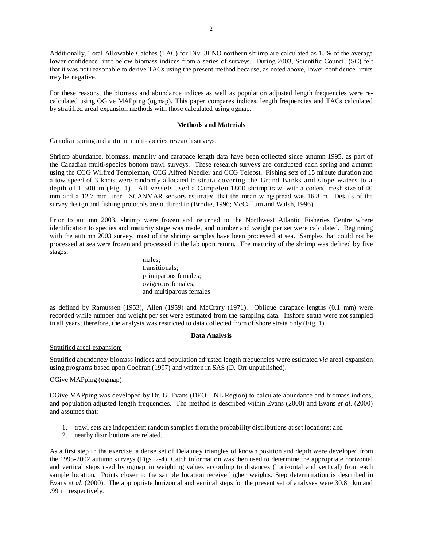Additionally, Total Allowable Catches (TAC) for Div. 3LNO northern shrimp are calculated as 15% of the average lower confidence limit below biomass indices from a series of surveys. During 2003, Scientific Council (SC) felt that it was not reasonable to derive TACs using the present method because, as noted above, lower confidence limits may be negative.

For these reasons, the biomass and abundance indices as well as population adjusted length frequencies were recalculated using OGive MAPping (ogmap). This paper compares indices, length frequencies and TACs calculated by stratified areal expansion methods with those calculated using ogmap.

#### **Methods and Materials**

# Canadian spring and autumn multi-species research surveys:

Shrimp abundance, biomass, maturity and carapace length data have been collected since autumn 1995, as part of the Canadian multi-species bottom trawl surveys. These research surveys are conducted each spring and autumn using the CCG Wilfred Templeman, CCG Alfred Needler and CCG Teleost. Fishing sets of 15 minute duration and a tow speed of 3 knots were randomly allocated to strata covering the Grand Banks and slope waters to a depth of 1 500 m (Fig. 1). All vessels used a Campelen 1800 shrimp trawl with a codend mesh size of 40 mm and a 12.7 mm liner. SCANMAR sensors estimated that the mean wingspread was 16.8 m. Details of the survey design and fishing protocols are outlined in (Brodie, 1996; McCallum and Walsh, 1996).

Prior to autumn 2003, shrimp were frozen and returned to the Northwest Atlantic Fisheries Centre where identification to species and maturity stage was made, and number and weight per set were calculated. Beginning with the autumn 2003 survey, most of the shrimp samples have been processed at sea. Samples that could not be processed at sea were frozen and processed in the lab upon return. The maturity of the shrimp was defined by five stages:

> males; transitionals; primiparous females; ovigerous females, and multiparous females

as defined by Ramussen (1953), Allen (1959) and McCrary (1971). Oblique carapace lengths (0.1 mm) were recorded while number and weight per set were estimated from the sampling data. Inshore strata were not sampled in all years; therefore, the analysis was restricted to data collected from offshore strata only (Fig. 1).

## **Data Analysis**

#### Stratified areal expansion:

Stratified abundance/ biomass indices and population adjusted length frequencies were estimated *via* areal expansion using programs based upon Cochran (1997) and written in SAS (D. Orr unpublished).

## OGive MAPping (ogmap):

OGive MAPping was developed by Dr. G. Evans (DFO – NL Region) to calculate abundance and biomass indices, and population adjusted length frequencies. The method is described within Evans (2000) and Evans *et al.* (2000) and assumes that:

- 1. trawl sets are independent random samples from the probability distributions at set locations; and
- 2. nearby distributions are related.

As a first step in the exercise, a dense set of Delauney triangles of known position and depth were developed from the 1995-2002 autumn surveys (Figs. 2-4). Catch information was then used to determine the appropriate horizontal and vertical steps used by ogmap in weighting values according to distances (horizontal and vertical) from each sample location. Points closer to the sample location receive higher weights. Step determination is described in Evans *et al.* (2000). The appropriate horizontal and vertical steps for the present set of analyses were 30.81 km and .99 m, respectively.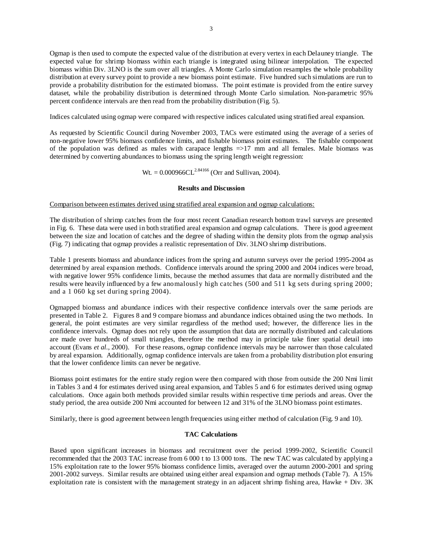Ogmap is then used to compute the expected value of the distribution at every vertex in each Delauney triangle. The expected value for shrimp biomass within each triangle is integrated using bilinear interpolation. The expected biomass within Div. 3LNO is the sum over all triangles. A Monte Carlo simulation resamples the whole probability distribution at every survey point to provide a new biomass point estimate. Five hundred such simulations are run to provide a probability distribution for the estimated biomass. The point estimate is provided from the entire survey dataset, while the probability distribution is determined through Monte Carlo simulation. Non-parametric 95% percent confidence intervals are then read from the probability distribution (Fig. 5).

Indices calculated using ogmap were compared with respective indices calculated using stratified areal expansion.

As requested by Scientific Council during November 2003, TACs were estimated using the average of a series of non-negative lower 95% biomass confidence limits, and fishable biomass point estimates. The fishable component of the population was defined as males with carapace lengths =>17 mm and all females. Male biomass was determined by converting abundances to biomass using the spring length weight regression:

 $Wt = 0.000966CL^{2.84166}$  (Orr and Sullivan, 2004).

## **Results and Discussion**

Comparison between estimates derived using stratified areal expansion and ogmap calculations:

The distribution of shrimp catches from the four most recent Canadian research bottom trawl surveys are presented in Fig. 6. These data were used in both stratified areal expansion and ogmap calculations. There is good agreement between the size and location of catches and the degree of shading within the density plots from the ogmap analysis (Fig. 7) indicating that ogmap provides a realistic representation of Div. 3LNO shrimp distributions.

Table 1 presents biomass and abundance indices from the spring and autumn surveys over the period 1995-2004 as determined by areal expansion methods. Confidence intervals around the spring 2000 and 2004 indices were broad, with negative lower 95% confidence limits, because the method assumes that data are normally distributed and the results were heavily influenced by a few anomalously high catches (500 and 511 kg sets during spring 2000; and a 1 060 kg set during spring 2004).

Ogmapped biomass and abundance indices with their respective confidence intervals over the same periods are presented in Table 2. Figures 8 and 9 compare biomass and abundance indices obtained using the two methods. In general, the point estimates are very similar regardless of the method used; however, the difference lies in the confidence intervals. Ogmap does not rely upon the assumption that data are normally distributed and calculations are made over hundreds of small triangles, therefore the method may in principle take finer spatial detail into account (Evans *et al.*, 2000). For these reasons, ogmap confidence intervals may be narrower than those calculated by areal expansion. Additionally, ogmap confidence intervals are taken from a probability distribution plot ensuring that the lower confidence limits can never be negative.

Biomass point estimates for the entire study region were then compared with those from outside the 200 Nmi limit in Tables 3 and 4 for estimates derived using areal expansion, and Tables 5 and 6 for estimates derived using ogmap calculations. Once again both methods provided similar results within respective time periods and areas. Over the study period, the area outside 200 Nmi accounted for between 12 and 31% of the 3LNO biomass point estimates.

Similarly, there is good agreement between length frequencies using either method of calculation (Fig. 9 and 10).

## **TAC Calculations**

Based upon significant increases in biomass and recruitment over the period 1999-2002, Scientific Council recommended that the 2003 TAC increase from 6 000 t to 13 000 tons. The new TAC was calculated by applying a 15% exploitation rate to the lower 95% biomass confidence limits, averaged over the autumn 2000-2001 and spring 2001-2002 surveys. Similar results are obtained using either areal expansion and ogmap methods (Table 7). A 15% exploitation rate is consistent with the management strategy in an adjacent shrimp fishing area, Hawke + Div. 3K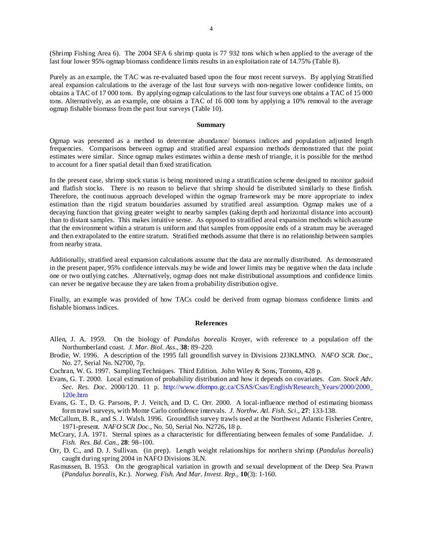(Shrimp Fishing Area 6). The 2004 SFA 6 shrimp quota is 77 932 tons which when applied to the average of the last four lower 95% ogmap biomass confidence limits results in an exploitation rate of 14.75% (Table 8).

Purely as an example, the TAC was re-evaluated based upon the four most recent surveys. By applying Stratified areal expansion calculations to the average of the last four surveys with non-negative lower confidence limits, on obtains a TAC of 17 000 tons. By applying ogmap calculations to the last four surveys one obtains a TAC of 15 000 tons. Alternatively, as an example, one obtains a TAC of 16 000 tons by applying a 10% removal to the average ogmap fishable biomass from the past four surveys (Table 10).

#### **Summary**

Ogmap was presented as a method to determine abundance/ biomass indices and population adjusted length frequencies. Comparisons between ogmap and stratified areal expansion methods demonstrated that the point estimates were similar. Since ogmap makes estimates within a dense mesh of triangle, it is possible for the method to account for a finer spatial detail than fixed stratification.

In the present case, shrimp stock status is being monitored using a stratification scheme designed to monitor gadoid and flatfish stocks. There is no reason to believe that shrimp should be distributed similarly to these finfish. Therefore, the continuous approach developed within the ogmap framework may be more appropriate to index estimation than the rigid stratum boundaries assumed by stratified areal assumption. Ogmap makes use of a decaying function that giving greater weight to nearby samples (taking depth and horizontal distance into account) than to distant samples. This makes intuitive sense. As opposed to stratified areal expansion methods which assume that the environment within a stratum is uniform and that samples from opposite ends of a stratum may be averaged and then extrapolated to the entire stratum. Stratified methods assume that there is no relationship between samples from nearby strata.

Additionally, stratified areal expansion calculations assume that the data are normally distributed. As demonstrated in the present paper, 95% confidence intervals may be wide and lower limits may be negative when the data include one or two outlying catches. Alternatively, ogmap does not make distributional assumptions and confidence limits can never be negative because they are taken from a probability distribution ogive.

Finally, an example was provided of how TACs could be derived from ogmap biomass confidence limits and fishable biomass indices.

#### **References**

- Allen, J. A. 1959. On the biology of *Pandalus borealis* Kroyer, with reference to a population off the Northumberland coast. *J. Mar. Biol. Ass*., **38**: 89–220.
- Brodie, W. 1996. A description of the 1995 fall groundfish survey in Divisions 2J3KLMNO. *NAFO SCR. Doc*., No. 27, Serial No. N2700, 7p.
- Cochran, W. G. 1997. Sampling Techniques. Third Edition. John Wiley & Sons, Toronto, 428 p.
- Evans, G. T. 2000. Local estimation of probability distribution and how it depends on covariates. *Can. Stock Adv. Sec. Res. Doc*. 2000/120. 11 p. http://www.dfompo.gc.ca/CSAS/Csas/English/Research\_Years/2000/2000\_ 120e.htm
- Evans, G. T., D. G. Parsons, P. J. Veitch, and D. C. Orr. 2000. A local-influence method of estimating biomass form trawl surveys, with Monte Carlo confidence intervals. *J. Northw. Atl. Fish. Sci*., **27**: 133-138.
- McCallum, B. R., and S. J. Walsh. 1996. Groundfish survey trawls used at the Northwest Atlantic Fisheries Centre, 1971-present. *NAFO SCR Doc*., No. 50, Serial No. N2726, 18 p.
- McCrary, J.A. 1971. Sternal spines as a characteristic for differentiating between females of some Pandalidae. *J. Fish. Res. Bd. Can.*, **28**: 98–100.
- Orr, D. C., and D. J. Sullivan. (in prep). Length weight relationships for northern shrimp (*Pandalus borealis*) caught during spring 2004 in NAFO Divisions 3LN.
- Rasmussen, B. 1953. On the geographical variation in growth and sexual development of the Deep Sea Prawn (*Pandalus borealis*, Kr.). *Norweg. Fish. And Mar. Invest. Rep*., **10**(3): 1-160.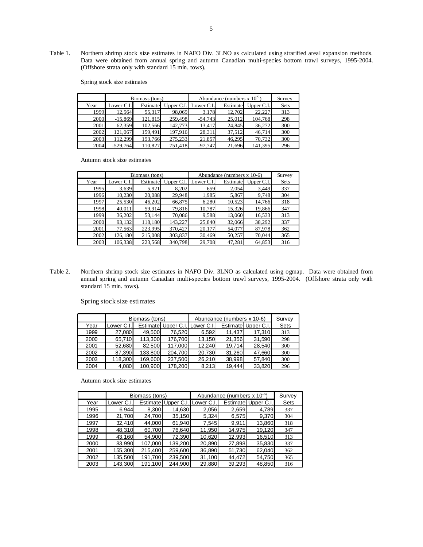Table 1. Northern shrimp stock size estimates in NAFO Div. 3LNO as calculated using stratified areal expansion methods. Data were obtained from annual spring and autumn Canadian multi-species bottom trawl surveys, 1995-2004. (Offshore strata only with standard 15 min. tows).

Spring stock size estimates

|      |            | Biomass (tons) |                                | Abundance (numbers $x 10^{\circ}$ ) |          | Survey       |             |
|------|------------|----------------|--------------------------------|-------------------------------------|----------|--------------|-------------|
| Year | Lower C.I. |                | Estimate Upper C.I. Lower C.I. |                                     | Estimate | Upper $C.I.$ | <b>Sets</b> |
| 1999 | 12,564     | 55,317         | 98,069                         | 3,178                               | 12,702   | 22,227       | 313         |
| 2000 | $-15,869$  | 121,815        | 259,498                        | $-54,743$                           | 25,012   | 104,768      | 298         |
| 2001 | 62,359     | 102,566        | 142,773                        | 13,417                              | 24,845   | 36,272       | 300         |
| 2002 | 121,067    | 159,491        | 197,916                        | 28,311                              | 37,512   | 46.714       | 300         |
| 2003 | 112.299    | 193,766        | 275,233                        | 21,857                              | 46.295   | 70,732       | 300         |
| 2004 | $-529,764$ | 110.827        | 751,418                        | $-97,747$                           | 21,696   | 141,395      | 296         |

Autumn stock size estimates

|      |            | Biomass (tons) |            | Abundance (numbers $x 10-6$ ) |          | Survey       |      |
|------|------------|----------------|------------|-------------------------------|----------|--------------|------|
| Year | Lower C.I. | Estimate       | Upper C.I. | Lower C.I.                    | Estimate | Upper $C.I.$ | Sets |
| 1995 | 3,639      | 5,921          | 8,202      | 659                           | 2,054    | 3,449        | 337  |
| 1996 | 10,230     | 20,088         | 29,948     | 1,985                         | 5,867    | 9,748        | 304  |
| 1997 | 25,530     | 46,202         | 66,875     | 6,280                         | 10,523   | 14,766       | 318  |
| 1998 | 40,011     | 59,914         | 79,816     | 10,787                        | 15,326   | 19,866       | 347  |
| 1999 | 36,202     | 53,144         | 70,086     | 9,588                         | 13,060   | 16,533       | 313  |
| 2000 | 93,132     | 118,180        | 143,227    | 25,840                        | 32,066   | 38,292       | 337  |
| 2001 | 77,563     | 223,995        | 370,427    | 20,177                        | 54,077   | 87,978       | 362  |
| 2002 | 126,180    | 215,008        | 303,837    | 30,469                        | 50,257   | 70,044       | 365  |
| 2003 | 106.338    | 223.568        | 340,798    | 29,708                        | 47.281   | 64.853       | 316  |

Table 2. Northern shrimp stock size estimates in NAFO Div. 3LNO as calculated using ogmap. Data were obtained from annual spring and autumn Canadian multi-species bottom trawl surveys, 1995-2004. (Offshore strata only with standard 15 min. tows).

Spring stock size estimates

|      |            | Biomass (tons) |                                |        | Abundance (numbers x 10-6) |                     | Survey |
|------|------------|----------------|--------------------------------|--------|----------------------------|---------------------|--------|
| Year | Lower C.I. |                | Estimate Upper C.I. Lower C.I. |        |                            | Estimate Upper C.I. | Sets   |
| 1999 | 27,080     | 49,500         | 76,520                         | 6,592  | 11,437                     | 17,310              | 313    |
| 2000 | 65,710     | 113,300        | 176,700                        | 13,150 | 21,356                     | 31,590              | 298    |
| 2001 | 52,680     | 82,500         | 117,000                        | 12,240 | 19.714                     | 28,540              | 300    |
| 2002 | 87,390     | 133,800        | 204,700                        | 20,730 | 31,260                     | 47,660              | 300    |
| 2003 | 118,300    | 169,600        | 237,500                        | 26,210 | 38,998                     | 57,840              | 300    |
| 2004 | 4.080      | 100,900        | 178.200                        | 8,213  | 19.444                     | 33,820              | 296    |

Autumn stock size estimates

|      |            | Biomass (tons) |                               | Abundance (numbers x 10 <sup>-6</sup> ) |        | Survey              |      |
|------|------------|----------------|-------------------------------|-----------------------------------------|--------|---------------------|------|
| Year | Lower C.I. |                | Estimate Upper C.I. Lower C.I |                                         |        | Estimate Upper C.I. | Sets |
| 1995 | 6.944      | 8,300          | 14,630                        | 2,056                                   | 2,659  | 4,789               | 337  |
| 1996 | 21,700     | 24,700         | 35,150                        | 5,324                                   | 6,575  | 9,370               | 304  |
| 1997 | 32,410     | 44,000         | 61,940                        | 7,545                                   | 9,911  | 13,860              | 318  |
| 1998 | 48,310     | 60,700         | 76.640                        | 11,950                                  | 14,975 | 19,120              | 347  |
| 1999 | 43,160     | 54,900         | 72,390                        | 10,620                                  | 12,993 | 16,510              | 313  |
| 2000 | 83,990     | 107,000        | 139,200                       | 20,890                                  | 27,898 | 35,830              | 337  |
| 2001 | 155,300    | 215,400        | 259,600                       | 36,890                                  | 51,730 | 62,040              | 362  |
| 2002 | 135,500    | 191,700        | 239,500                       | 31,100                                  | 44,472 | 54,750              | 365  |
| 2003 | 143,300    | 191.100        | 244.900                       | 29,880                                  | 39,293 | 48,850              | 316  |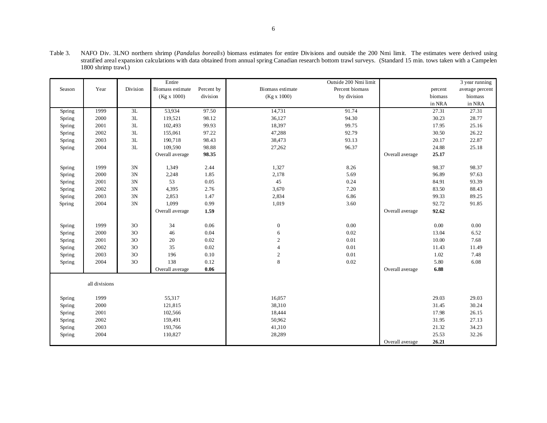|        |               |            | Entire           |            |                  | Outside 200 Nmi limit |                 |         | 3 year running  |
|--------|---------------|------------|------------------|------------|------------------|-----------------------|-----------------|---------|-----------------|
| Season | Year          | Division   | Biomass estimate | Percent by | Biomass estimate | Percent biomass       |                 | percent | average percent |
|        |               |            | (Kg x 1000)      | division   | (Kg x 1000)      | by division           |                 | biomass | biomass         |
|        |               |            |                  |            |                  |                       |                 | in NRA  | in NRA          |
| Spring | 1999          | 3L         | 53,934           | 97.50      | 14,731           | 91.74                 |                 | 27.31   | 27.31           |
| Spring | 2000          | $3{\rm L}$ | 119,521          | 98.12      | 36,127           | 94.30                 |                 | 30.23   | 28.77           |
| Spring | 2001          | 3L         | 102,493          | 99.93      | 18,397           | 99.75                 |                 | 17.95   | 25.16           |
| Spring | 2002          | 3L         | 155,061          | 97.22      | 47,288           | 92.79                 |                 | 30.50   | 26.22           |
| Spring | 2003          | 3L         | 190,718          | 98.43      | 38,473           | 93.13                 |                 | 20.17   | 22.87           |
| Spring | 2004          | 3L         | 109,590          | 98.88      | 27,262           | 96.37                 |                 | 24.88   | 25.18           |
|        |               |            | Overall average  | 98.35      |                  |                       | Overall average | 25.17   |                 |
| Spring | 1999          | 3N         | 1,349            | 2.44       | 1,327            | 8.26                  |                 | 98.37   | 98.37           |
| Spring | 2000          | 3N         | 2,248            | 1.85       | 2,178            | 5.69                  |                 | 96.89   | 97.63           |
| Spring | 2001          | 3N         | 53               | 0.05       | 45               | 0.24                  |                 | 84.91   | 93.39           |
| Spring | 2002          | 3N         | 4,395            | 2.76       | 3,670            | 7.20                  |                 | 83.50   | 88.43           |
| Spring | 2003          | 3N         | 2,853            | 1.47       | 2,834            | 6.86                  |                 | 99.33   | 89.25           |
| Spring | 2004          | 3N         | 1,099            | 0.99       | 1,019            | 3.60                  |                 | 92.72   | 91.85           |
|        |               |            | Overall average  | 1.59       |                  |                       | Overall average | 92.62   |                 |
|        |               |            |                  |            |                  |                       |                 |         |                 |
| Spring | 1999          | 30         | 34               | 0.06       | $\boldsymbol{0}$ | 0.00                  |                 | 0.00    | 0.00            |
| Spring | 2000          | 30         | 46               | 0.04       | 6                | 0.02                  |                 | 13.04   | 6.52            |
| Spring | 2001          | 30         | 20               | 0.02       | $\sqrt{2}$       | 0.01                  |                 | 10.00   | 7.68            |
| Spring | 2002          | 30         | 35               | 0.02       | $\overline{4}$   | 0.01                  |                 | 11.43   | 11.49           |
| Spring | 2003          | 30         | 196              | 0.10       | $\sqrt{2}$       | 0.01                  |                 | 1.02    | 7.48            |
| Spring | 2004          | 30         | 138              | 0.12       | $\,8\,$          | 0.02                  |                 | 5.80    | 6.08            |
|        |               |            | Overall average  | 0.06       |                  |                       | Overall average | 6.88    |                 |
|        | all divisions |            |                  |            |                  |                       |                 |         |                 |
|        |               |            |                  |            |                  |                       |                 |         |                 |
| Spring | 1999          |            | 55,317           |            | 16,057           |                       |                 | 29.03   | 29.03           |
| Spring | 2000          |            | 121,815          |            | 38,310           |                       |                 | 31.45   | 30.24           |
| Spring | 2001          |            | 102,566          |            | 18,444           |                       |                 | 17.98   | 26.15           |
| Spring | 2002          |            | 159,491          |            | 50,962           |                       |                 | 31.95   | 27.13           |
| Spring | 2003          |            | 193,766          |            | 41,310           |                       |                 | 21.32   | 34.23           |
| Spring | 2004          |            | 110,827          |            | 28,289           |                       |                 | 25.53   | 32.26           |
|        |               |            |                  |            |                  |                       | Overall average | 26.21   |                 |

Table 3. NAFO Div. 3LNO northern shrimp (*Pandalus borealis*) biomass estimates for entire Divisions and outside the 200 Nmi limit. The estimates were derived using stratified areal expansion calculations with data obtained from annual spring Canadian research bottom trawl surveys. (Standard 15 min. tows taken with a Campelen 1800 shrimp trawl.)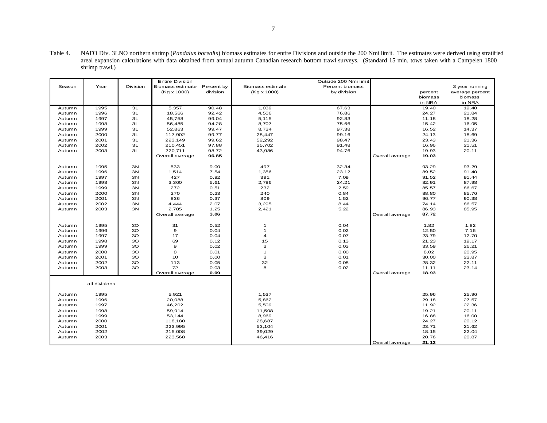Table 4. NAFO Div. 3LNO northern shrimp (*Pandalus borealis*) biomass estimates for entire Divisions and outside the 200 Nmi limit. The estimates were derived using stratified areal expansion calculations with data obtained from annual autumn Canadian research bottom trawl surveys. (Standard 15 min. tows taken with a Campelen 1800 shrimp trawl.)

|        |               |                | <b>Entire Division</b> |            |                    | Outside 200 Nmi limit |                 |         |                 |
|--------|---------------|----------------|------------------------|------------|--------------------|-----------------------|-----------------|---------|-----------------|
| Season | Year          | Division       | Biomass estimate       | Percent by | Biomass estimate   | Percent biomass       |                 |         | 3 year running  |
|        |               |                | (Kg x 1000)            | division   | $(Kg \times 1000)$ | by division           |                 | percent | average percent |
|        |               |                |                        |            |                    |                       |                 | biomass | biomass         |
|        |               |                |                        |            |                    |                       |                 | in NRA  | in NRA          |
| Autumn | 1995          | 3L             | 5,357                  | 90.48      | 1,039              | 67.63                 |                 | 19.40   | 19.40           |
| Autumn | 1996          | 3L             | 18,566                 | 92.42      | 4,506              | 76.86                 |                 | 24.27   | 21.84           |
| Autumn | 1997          | 3L             | 45,758                 | 99.04      | 5,115              | 92.83                 |                 | 11.18   | 18.28           |
| Autumn | 1998          | 3L             | 56,485                 | 94.28      | 8,707              | 75.66                 |                 | 15.42   | 16.95           |
| Autumn | 1999          | 3L             | 52,863                 | 99.47      | 8,734              | 97.38                 |                 | 16.52   | 14.37           |
| Autumn | 2000          | ЗL             | 117,902                | 99.77      | 28,447             | 99.16                 |                 | 24.13   | 18.69           |
| Autumn | 2001          | 3L             | 223,149                | 99.62      | 52,292             | 98.47                 |                 | 23.43   | 21.36           |
| Autumn | 2002          | 3L             | 210,451                | 97.88      | 35,702             | 91.48                 |                 | 16.96   | 21.51           |
| Autumn | 2003          | 3L             | 220,711                | 98.72      | 43,986             | 94.76                 |                 | 19.93   | 20.11           |
|        |               |                | Overall average        | 96.85      |                    |                       | Overall average | 19.03   |                 |
|        |               |                |                        |            |                    |                       |                 |         |                 |
| Autumn | 1995          | 3N             | 533                    | 9.00       | 497                | 32.34                 |                 | 93.29   | 93.29           |
| Autumn | 1996          | 3N             | 1,514                  | 7.54       | 1,356              | 23.12                 |                 | 89.52   | 91.40           |
| Autumn | 1997          | 3N             | 427                    | 0.92       | 391                | 7.09                  |                 | 91.52   | 91.44           |
| Autumn | 1998          | 3N             | 3,360                  | 5.61       | 2,786              | 24.21                 |                 | 82.91   | 87.98           |
| Autumn | 1999          | 3N             | 272                    | 0.51       | 232                | 2.59                  |                 | 85.57   | 86.67           |
| Autumn | 2000          | 3N             | 270                    | 0.23       | 240                | 0.84                  |                 | 88.80   | 85.76           |
| Autumn | 2001          | 3N             | 836                    | 0.37       | 809                | 1.52                  |                 | 96.77   | 90.38           |
| Autumn | 2002          | 3N             | 4,444                  | 2.07       | 3,295              | 8.44                  |                 | 74.14   | 86.57           |
| Autumn | 2003          | 3N             | 2,785                  | 1.25       | 2,421              | 5.22                  |                 | 86.93   | 85.95           |
|        |               |                | Overall average        | 3.06       |                    |                       | Overall average | 87.72   |                 |
|        |               |                |                        |            |                    |                       |                 |         |                 |
| Autumn | 1995          | 3O             | 31                     | 0.52       | 1                  | 0.04                  |                 | 1.82    | 1.82            |
| Autumn | 1996          | 3 <sub>O</sub> | $\mathbf 9$            | 0.04       | $\mathbf{1}$       | 0.02                  |                 | 12.50   | 7.16            |
| Autumn | 1997          | 3O             | 17                     | 0.04       | $\overline{4}$     | 0.07                  |                 | 23.79   | 12.70           |
| Autumn | 1998          | 3 <sub>O</sub> | 69                     | 0.12       | 15                 | 0.13                  |                 | 21.23   | 19.17           |
| Autumn | 1999          | 3 <sub>O</sub> | 9                      | 0.02       | 3                  | 0.03                  |                 | 33.59   | 26.21           |
| Autumn | 2000          | 3O             | 8                      | 0.01       | $\mathbf{1}$       | 0.00                  |                 | 8.02    | 20.95           |
| Autumn | 2001          | 3 <sub>O</sub> | 10                     | 0.00       | 3                  | 0.01                  |                 | 30.00   | 23.87           |
| Autumn | 2002          | 3O             | 113                    | 0.05       | 32                 | 0.08                  |                 | 28.32   | 22.11           |
| Autumn | 2003          | 3O             | 72                     | 0.03       | 8                  | 0.02                  |                 | 11.11   | 23.14           |
|        |               |                | Overall average        | 0.09       |                    |                       | Overall average | 18.93   |                 |
|        |               |                |                        |            |                    |                       |                 |         |                 |
|        | all divisions |                |                        |            |                    |                       |                 |         |                 |
|        |               |                |                        |            |                    |                       |                 |         |                 |
| Autumn | 1995          |                | 5,921                  |            | 1,537              |                       |                 | 25.96   | 25.96           |
| Autumn | 1996          |                | 20,088                 |            | 5,862              |                       |                 | 29.18   | 27.57           |
| Autumn | 1997          |                | 46,202                 |            | 5,509              |                       |                 | 11.92   | 22.36           |
| Autumn | 1998          |                | 59,914                 |            | 11,508             |                       |                 | 19.21   | 20.11           |
| Autumn | 1999          |                | 53,144                 |            | 8,969              |                       |                 | 16.88   | 16.00           |
| Autumn | 2000          |                | 118,180                |            | 28,687             |                       |                 | 24.27   | 20.12           |
| Autumn | 2001          |                | 223,995                |            | 53,104             |                       |                 | 23.71   | 21.62           |
| Autumn | 2002          |                | 215,008                |            | 39,029             |                       |                 | 18.15   | 22.04           |
| Autumn | 2003          |                | 223,568                |            | 46,416             |                       |                 | 20.76   | 20.87           |
|        |               |                |                        |            |                    |                       | Overall average | 21.12   |                 |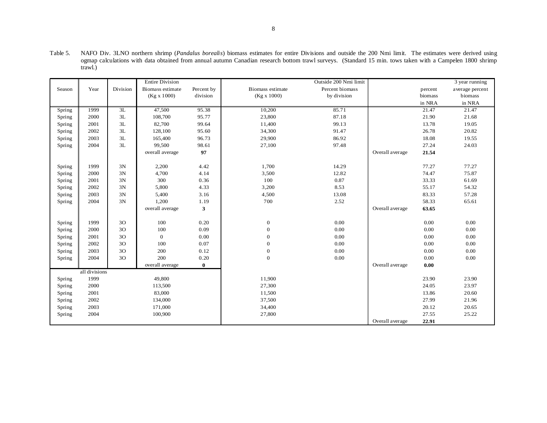|        |               |          | <b>Entire Division</b> |            |                         | Outside 200 Nmi limit |                 |         | 3 year running  |
|--------|---------------|----------|------------------------|------------|-------------------------|-----------------------|-----------------|---------|-----------------|
| Season | Year          | Division | Biomass estimate       | Percent by | <b>Biomass</b> estimate | Percent biomass       |                 | percent | average percent |
|        |               |          | (Kg x 1000)            | division   | (Kg x 1000)             | by division           |                 | biomass | biomass         |
|        |               |          |                        |            |                         |                       |                 | in NRA  | in NRA          |
| Spring | 1999          | 3L       | 47,500                 | 95.38      | 10,200                  | 85.71                 |                 | 21.47   | 21.47           |
| Spring | 2000          | 3L       | 108,700                | 95.77      | 23,800                  | 87.18                 |                 | 21.90   | 21.68           |
| Spring | 2001          | 3L       | 82,700                 | 99.64      | 11,400                  | 99.13                 |                 | 13.78   | 19.05           |
| Spring | 2002          | 3L       | 128,100                | 95.60      | 34,300                  | 91.47                 |                 | 26.78   | 20.82           |
| Spring | 2003          | 3L       | 165,400                | 96.73      | 29,900                  | 86.92                 |                 | 18.08   | 19.55           |
| Spring | 2004          | 3L       | 99,500                 | 98.61      | 27,100                  | 97.48                 |                 | 27.24   | 24.03           |
|        |               |          | overall average        | 97         |                         |                       | Overall average | 21.54   |                 |
|        |               |          |                        |            |                         |                       |                 |         |                 |
| Spring | 1999          | 3N       | 2,200                  | 4.42       | 1,700                   | 14.29                 |                 | 77.27   | 77.27           |
| Spring | 2000          | 3N       | 4,700                  | 4.14       | 3,500                   | 12.82                 |                 | 74.47   | 75.87           |
| Spring | 2001          | 3N       | 300                    | 0.36       | 100                     | 0.87                  |                 | 33.33   | 61.69           |
| Spring | 2002          | 3N       | 5,800                  | 4.33       | 3,200                   | 8.53                  |                 | 55.17   | 54.32           |
| Spring | 2003          | 3N       | 5,400                  | 3.16       | 4,500                   | 13.08                 |                 | 83.33   | 57.28           |
| Spring | 2004          | $3N$     | 1,200                  | 1.19       | 700                     | 2.52                  |                 | 58.33   | 65.61           |
|        |               |          | overall average        | 3          |                         |                       | Overall average | 63.65   |                 |
|        |               |          |                        |            |                         |                       |                 |         |                 |
| Spring | 1999          | 3O       | 100                    | 0.20       | $\mathbf{0}$            | 0.00                  |                 | 0.00    | 0.00            |
| Spring | 2000          | 3O       | 100                    | 0.09       | $\Omega$                | 0.00                  |                 | 0.00    | 0.00            |
| Spring | 2001          | 3O       | $\overline{0}$         | 0.00       | $\Omega$                | 0.00                  |                 | 0.00    | 0.00            |
| Spring | 2002          | 3O       | 100                    | 0.07       | $\Omega$                | 0.00                  |                 | 0.00    | 0.00            |
| Spring | 2003          | 3O       | 200                    | 0.12       | $\mathbf{0}$            | 0.00                  |                 | 0.00    | 0.00            |
| Spring | 2004          | 3O       | 200                    | 0.20       | $\mathbf{0}$            | $0.00\,$              |                 | 0.00    | 0.00            |
|        |               |          | overall average        | $\bf{0}$   |                         |                       | Overall average | 0.00    |                 |
|        | all divisions |          |                        |            |                         |                       |                 |         |                 |
| Spring | 1999          |          | 49,800                 |            | 11,900                  |                       |                 | 23.90   | 23.90           |
| Spring | 2000          |          | 113,500                |            | 27,300                  |                       |                 | 24.05   | 23.97           |
| Spring | 2001          |          | 83,000                 |            | 11,500                  |                       |                 | 13.86   | 20.60           |
| Spring | 2002          |          | 134,000                |            | 37,500                  |                       |                 | 27.99   | 21.96           |
| Spring | 2003          |          | 171,000                |            | 34,400                  |                       |                 | 20.12   | 20.65           |
| Spring | 2004          |          | 100,900                |            | 27,800                  |                       |                 | 27.55   | 25.22           |
|        |               |          |                        |            |                         |                       | Overall average | 22.91   |                 |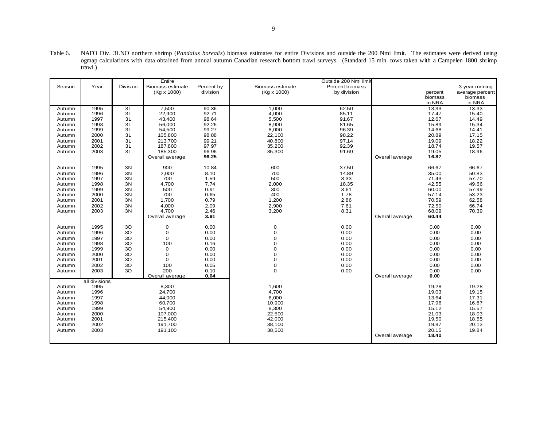Table 6. NAFO Div. 3LNO northern shrimp (*Pandalus borealis*) biomass estimates for entire Divisions and outside the 200 Nmi limit. The estimates were derived using ogmap calculations with data obtained from annual autumn Canadian research bottom trawl surveys. (Standard 15 min. tows taken with a Campelen 1800 shrimp trawl.)

|                  |               |          | Entire           |            |                         | Outside 200 Nmi limit |                 |                |                 |
|------------------|---------------|----------|------------------|------------|-------------------------|-----------------------|-----------------|----------------|-----------------|
| Season           | Year          | Division | Biomass estimate | Percent by | <b>Biomass estimate</b> | Percent biomass       |                 |                | 3 year running  |
|                  |               |          | (Kg x 1000)      | division   | (Kg x 1000)             | by division           |                 | percent        | average percent |
|                  |               |          |                  |            |                         |                       |                 | biomass        | biomass         |
|                  |               |          |                  |            |                         |                       |                 | in NRA         | in NRA          |
| Autumn           | 1995          | 3L       | 7,500            | 90.36      | 1,000                   | 62.50                 |                 | 13.33          | 13.33           |
| Autumn           | 1996          | 3L       | 22,900           | 92.71      | 4,000                   | 85.11                 |                 | 17.47          | 15.40           |
| Autumn           | 1997          | 3L       | 43,400           | 98.64      | 5,500                   | 91.67                 |                 | 12.67          | 14.49           |
| Autumn           | 1998          | 3L       | 56,000           | 92.26      | 8,900                   | 81.65                 |                 | 15.89          | 15.34           |
| Autumn           | 1999          | 3L       | 54,500           | 99.27      | 8,000                   | 96.39                 |                 | 14.68          | 14.41           |
| Autumn           | 2000          | 3L       | 105,800          | 98.88      | 22,100                  | 98.22                 |                 | 20.89          | 17.15           |
| Autumn           | 2001          | 3L       | 213,700          | 99.21      | 40,800                  | 97.14                 |                 | 19.09          | 18.22           |
| Autumn           | 2002          | 3L       | 187,800          | 97.97      | 35,200                  | 92.39                 |                 | 18.74          | 19.57           |
| Autumn           | 2003          | 3L       | 185,300          | 96.96      | 35,300                  | 91.69                 |                 | 19.05          | 18.96           |
|                  |               |          | Overall average  | 96.25      |                         |                       | Overall average | 16.87          |                 |
|                  |               |          |                  |            |                         |                       |                 |                |                 |
| Autumn           | 1995          | 3N       | 900              | 10.84      | 600                     | 37.50                 |                 | 66.67          | 66.67           |
| Autumn           | 1996          | 3N       | 2,000            | 8.10       | 700                     | 14.89                 |                 | 35.00          | 50.83           |
| Autumn           | 1997          | 3N       | 700              | 1.59       | 500                     | 8.33                  |                 | 71.43          | 57.70           |
| Autumn           | 1998          | 3N       | 4,700            | 7.74       | 2,000                   | 18.35                 |                 | 42.55          | 49.66           |
| Autumn           | 1999          | 3N       | 500              | 0.91       | 300                     | 3.61                  |                 | 60.00          | 57.99           |
| Autumn           | 2000          | 3N       | 700              | 0.65       | 400                     | 1.78                  |                 | 57.14          | 53.23           |
| Autumn           | 2001          | 3N       | 1,700            | 0.79       | 1,200                   | 2.86                  |                 | 70.59          | 62.58           |
|                  | 2002          | 3N       |                  | 2.09       |                         |                       |                 |                |                 |
| Autumn<br>Autumn | 2003          | 3N       | 4,000<br>4,700   | 2.46       | 2,900<br>3,200          | 7.61<br>8.31          |                 | 72.50<br>68.09 | 66.74<br>70.39  |
|                  |               |          |                  | 3.91       |                         |                       |                 | 60.44          |                 |
|                  |               |          | Overall average  |            |                         |                       | Overall average |                |                 |
| Autumn           | 1995          | 3O       | 0                | 0.00       | $\mathbf 0$             | 0.00                  |                 | 0.00           | 0.00            |
| Autumn           | 1996          | 3O       | $\mathbf 0$      | 0.00       | $\mathbf 0$             | 0.00                  |                 | 0.00           | 0.00            |
| Autumn           | 1997          | 3O       | $\mathbf 0$      | 0.00       | $\mathbf 0$             | 0.00                  |                 | 0.00           | 0.00            |
| Autumn           | 1998          | 3O       | 100              | 0.16       | $\mathbf 0$             | 0.00                  |                 | 0.00           | 0.00            |
| Autumn           | 1999          | 3O       | 0                | 0.00       | $\mathbf 0$             | 0.00                  |                 | 0.00           | 0.00            |
| Autumn           | 2000          | 3O       | 0                | 0.00       | $\mathbf 0$             | 0.00                  |                 | 0.00           | 0.00            |
| Autumn           | 2001          | 3O       | $\mathbf 0$      | 0.00       | $\mathbf 0$             | 0.00                  |                 | 0.00           | 0.00            |
|                  | 2002          | 3O       | 100              | 0.05       | $\mathbf 0$             | 0.00                  |                 | 0.00           | 0.00            |
| Autumn           | 2003          | 3O       | 200              | 0.10       | $\mathbf 0$             | 0.00                  |                 |                | 0.00            |
| Autumn           |               |          | Overall average  | 0.04       |                         |                       | Overall average | 0.00<br>0.00   |                 |
|                  | all divisions |          |                  |            |                         |                       |                 |                |                 |
| Autumn           | 1995          |          | 8,300            |            | 1,600                   |                       |                 | 19.28          | 19.28           |
|                  | 1996          |          | 24,700           |            | 4,700                   |                       |                 | 19.03          | 19.15           |
| Autumn           | 1997          |          | 44,000           |            | 6,000                   |                       |                 | 13.64          | 17.31           |
| Autumn<br>Autumn | 1998          |          | 60,700           |            | 10,900                  |                       |                 | 17.96          | 16.87           |
| Autumn           | 1999          |          | 54,900           |            | 8,300                   |                       |                 | 15.12          | 15.57           |
|                  |               |          |                  |            |                         |                       |                 |                |                 |
| Autumn           | 2000<br>2001  |          | 107,000          |            | 22,500<br>42,000        |                       |                 | 21.03          | 18.03           |
| Autumn           |               |          | 215,400          |            |                         |                       |                 | 19.50          | 18.55           |
| Autumn           | 2002          |          | 191,700          |            | 38,100                  |                       |                 | 19.87          | 20.13           |
| Autumn           | 2003          |          | 191,100          |            | 38,500                  |                       |                 | 20.15          | 19.84           |
|                  |               |          |                  |            |                         |                       | Overall average | 18.40          |                 |
|                  |               |          |                  |            |                         |                       |                 |                |                 |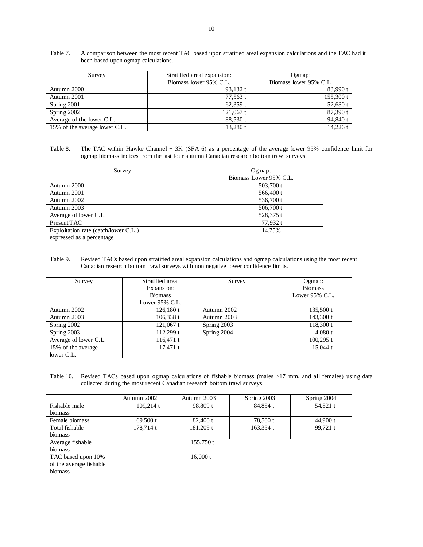| Survey                        | Stratified areal expansion: | Ogmap:                 |
|-------------------------------|-----------------------------|------------------------|
|                               | Biomass lower 95% C.L.      | Biomass lower 95% C.L. |
| Autumn 2000                   | 93.132 $t$                  | 83,990 t               |
| Autumn 2001                   | 77,563 t                    | 155,300 t              |
| Spring 2001                   | $62,359$ t                  | 52,680 t               |
| Spring 2002                   | $121,067$ t                 | 87,390t                |
| Average of the lower C.L.     | 88,530 t                    | 94,840 t               |
| 15% of the average lower C.L. | $13,280$ t                  | 14.226 t               |

Table 7. A comparison between the most recent TAC based upon stratified areal expansion calculations and the TAC had it been based upon ogmap calculations.

## Table 8. The TAC within Hawke Channel + 3K (SFA 6) as a percentage of the average lower 95% confidence limit for ogmap biomass indices from the last four autumn Canadian research bottom trawl surveys.

| Survey                               | Ogmap:                 |  |  |  |
|--------------------------------------|------------------------|--|--|--|
|                                      | Biomass Lower 95% C.L. |  |  |  |
| Autumn 2000                          | 503,700 t              |  |  |  |
| Autumn 2001                          | 566,400 t              |  |  |  |
| Autumn 2002                          | 536,700 t              |  |  |  |
| Autumn 2003                          | 506,700t               |  |  |  |
| Average of lower C.L.                | 528,375 t              |  |  |  |
| Present TAC                          | 77,932 t               |  |  |  |
| Exploitation rate (catch/lower C.L.) | 14.75%                 |  |  |  |
| expressed as a percentage            |                        |  |  |  |

#### Table 9. Revised TACs based upon stratified areal expansion calculations and ogmap calculations using the most recent Canadian research bottom trawl surveys with non negative lower confidence limits.

| Survey                | Stratified areal  | Survey      | Ogmap:            |
|-----------------------|-------------------|-------------|-------------------|
|                       | Expansion:        |             | <b>Biomass</b>    |
|                       | <b>Biomass</b>    |             | Lower $95\%$ C.L. |
|                       | Lower $95\%$ C.L. |             |                   |
| Autumn 2002           | $126,180$ t       | Autumn 2002 | 135,500 t         |
| Autumn 2003           | $106,338$ t       | Autumn 2003 | 143,300t          |
| Spring 2002           | $121,067$ t       | Spring 2003 | 118,300 t         |
| Spring 2003           | $112,299$ t       | Spring 2004 | 4080 t            |
| Average of lower C.L. | $116,471$ t       |             | $100,295$ t       |
| 15% of the average    | $17,471$ t        |             | 15.044 $t$        |
| lower C.L.            |                   |             |                   |

Table 10. Revised TACs based upon ogmap calculations of fishable biomass (males >17 mm, and all females) using data collected during the most recent Canadian research bottom trawl surveys.

|                         | Autumn 2002 | Autumn 2003 | Spring 2003 | Spring 2004 |
|-------------------------|-------------|-------------|-------------|-------------|
| Fishable male           | 109.214 t   | 98,809 t    | 84.854 t    | 54,821 t    |
| biomass                 |             |             |             |             |
| Female biomass          | $69,500$ t  | $82,400$ t  | 78,500 t    | 44,900 $t$  |
| Total fishable          | 178,714 t   | 181,209 t   | 163,354 t   | $99,721$ t  |
| biomass                 |             |             |             |             |
| Average fishable        |             | 155,750t    |             |             |
| biomass                 |             |             |             |             |
| TAC based upon 10%      |             | 16,000 t    |             |             |
| of the average fishable |             |             |             |             |
| biomass                 |             |             |             |             |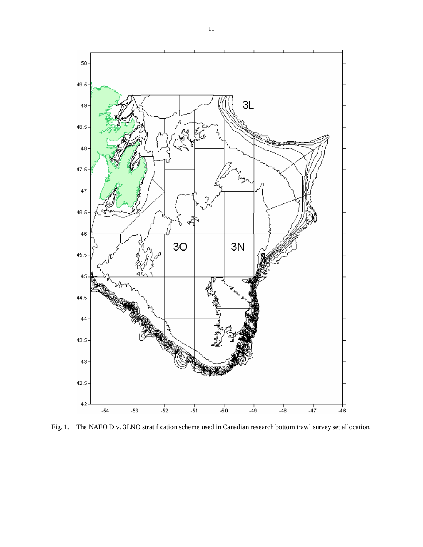

Fig. 1. The NAFO Div. 3LNO stratification scheme used in Canadian research bottom trawl survey set allocation.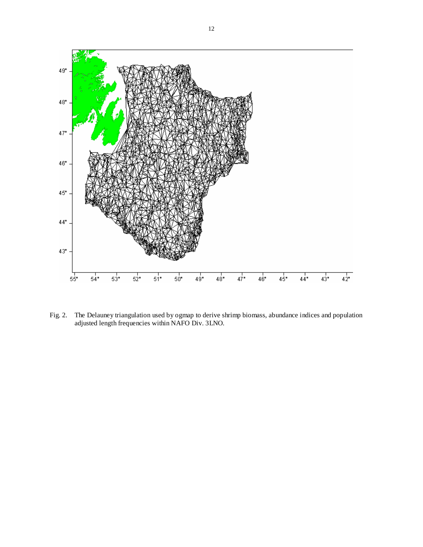

Fig. 2. The Delauney triangulation used by ogmap to derive shrimp biomass, abundance indices and population adjusted length frequencies within NAFO Div. 3LNO.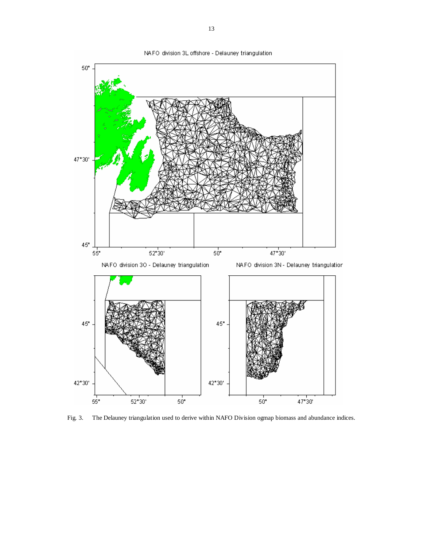

Fig. 3. The Delauney triangulation used to derive within NAFO Division ogmap biomass and abundance indices.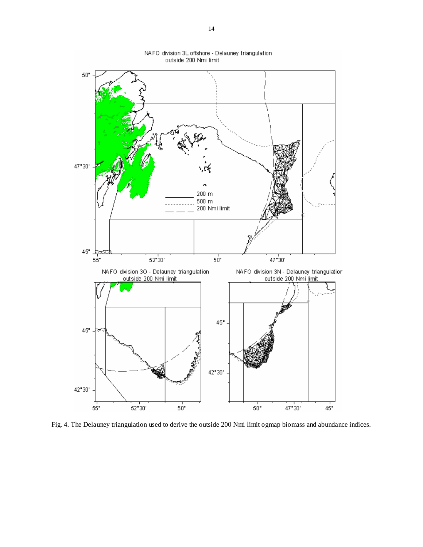

NAFO division 3L offshore - Delauney triangulation

Fig. 4. The Delauney triangulation used to derive the outside 200 Nmi limit ogmap biomass and abundance indices.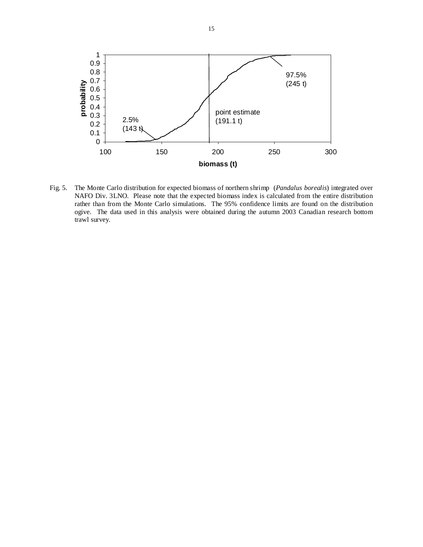

Fig. 5. The Monte Carlo distribution for expected biomass of northern shrimp (*Pandalus borealis*) integrated over NAFO Div. 3LNO. Please note that the expected biomass index is calculated from the entire distribution rather than from the Monte Carlo simulations. The 95% confidence limits are found on the distribution ogive. The data used in this analysis were obtained during the autumn 2003 Canadian research bottom trawl survey.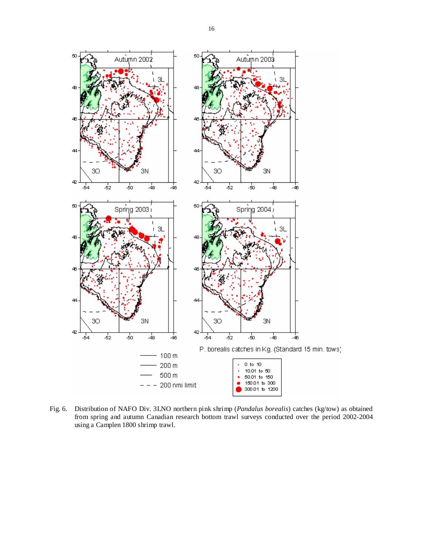

Fig. 6. Distribution of NAFO Div. 3LNO northern pink shrimp (*Pandalus borealis*) catches (kg/tow) as obtained from spring and autumn Canadian research bottom trawl surveys conducted over the period 2002-2004 using a Camplen 1800 shrimp trawl.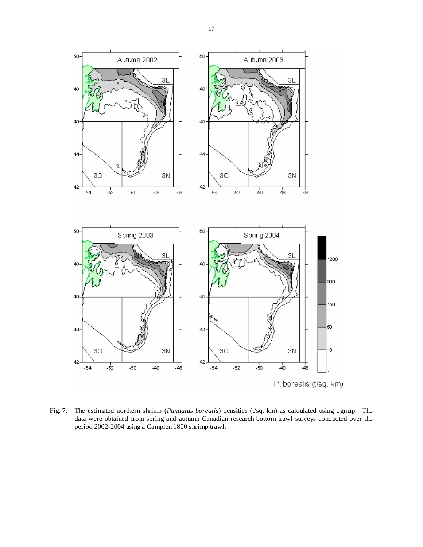

Fig. 7. The estimated northern shrimp (*Pandalus borealis*) densities (t/sq. km) as calculated using ogmap. The data were obtained from spring and autumn Canadian research bottom trawl surveys conducted over the period 2002-2004 using a Camplen 1800 shrimp trawl.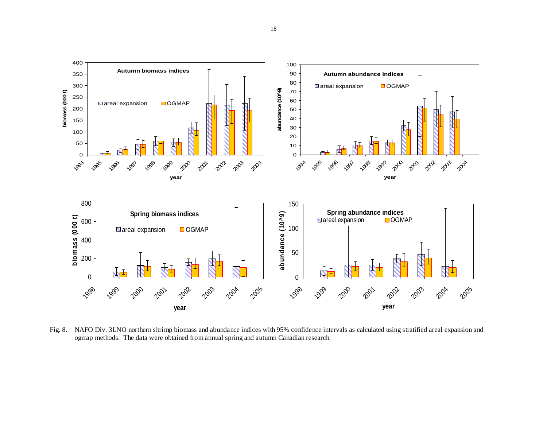

Fig. 8. NAFO Div. 3LNO northern shrimp biomass and abundance indices with 95% confidence intervals as calculated using stratified areal expansion and ogmap methods. The data were obtained from annual spring and autumn Canadian research.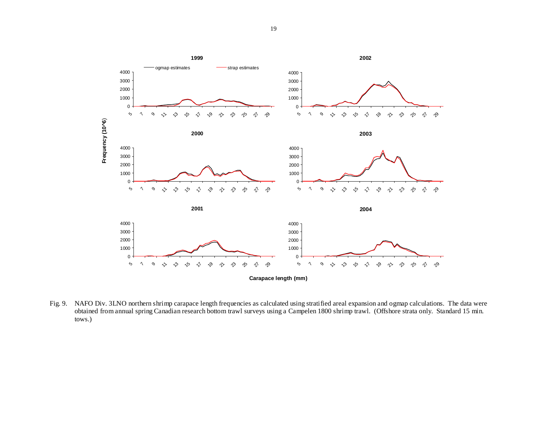

Fig. 9. NAFO Div. 3LNO northern shrimp carapace length frequencies as calculated using stratified areal expansion and ogmap calculations. The data were obtained from annual spring Canadian research bottom trawl surveys using a Campelen 1800 shrimp trawl. (Offshore strata only. Standard 15 min. tows.)